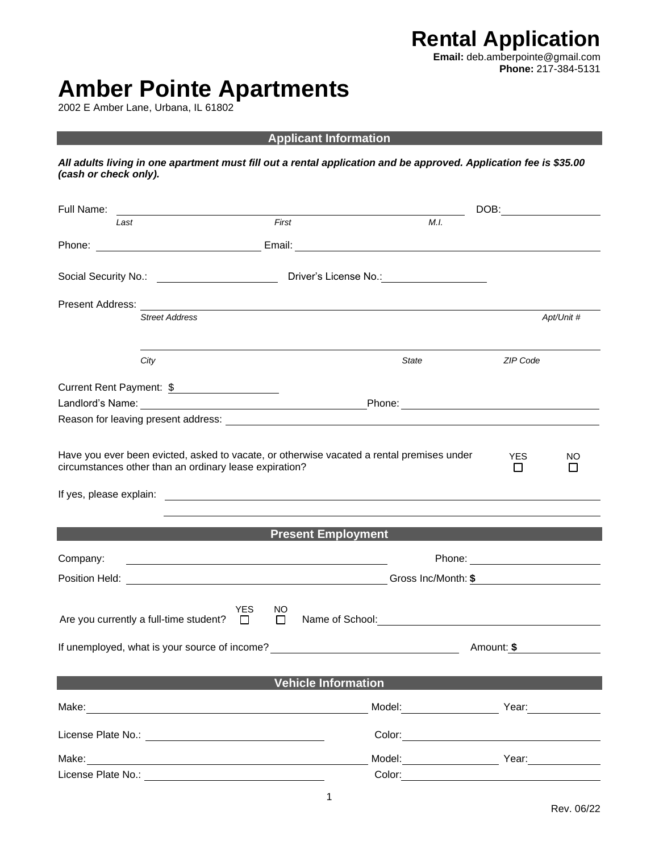**Rental Application Email:** deb.amberpointe@gmail.com **Phone:** 217-384-5131

## **Amber Pointe Apartments**

2002 E Amber Lane, Urbana, IL 61802

**Applicant Information**

*All adults living in one apartment must fill out a rental application and be approved. Application fee is \$35.00 (cash or check only).* 

| Full Name:       |                                                        | DOB:                                |                                                                                                                        |                 |     |  |  |  |
|------------------|--------------------------------------------------------|-------------------------------------|------------------------------------------------------------------------------------------------------------------------|-----------------|-----|--|--|--|
| Last             |                                                        | First                               | M.I.                                                                                                                   |                 |     |  |  |  |
| Phone:           |                                                        | Email:                              | <u> 1989 - Johann Stoff, deutscher Stoffen und der Stoffen und der Stoffen und der Stoffen und der Stoffen und der</u> |                 |     |  |  |  |
|                  |                                                        |                                     |                                                                                                                        |                 |     |  |  |  |
| Present Address: | <b>Street Address</b>                                  |                                     | Apt/Unit #                                                                                                             |                 |     |  |  |  |
|                  | City                                                   |                                     | State                                                                                                                  | ZIP Code        |     |  |  |  |
|                  | Current Rent Payment: \$                               |                                     |                                                                                                                        |                 |     |  |  |  |
|                  | circumstances other than an ordinary lease expiration? |                                     | Have you ever been evicted, asked to vacate, or otherwise vacated a rental premises under                              | <b>YES</b><br>П | NO. |  |  |  |
|                  |                                                        |                                     |                                                                                                                        |                 |     |  |  |  |
|                  |                                                        | <b>Example 2 Present Employment</b> |                                                                                                                        |                 |     |  |  |  |
| Company:         |                                                        |                                     | Phone: <u>_________________________</u>                                                                                |                 |     |  |  |  |
|                  |                                                        |                                     |                                                                                                                        |                 |     |  |  |  |
|                  | Are you currently a full-time student? $\square$       | <b>YES</b><br>NO.<br>$\Box$         | Name of School: Name of School:                                                                                        |                 |     |  |  |  |
|                  |                                                        |                                     | If unemployed, what is your source of income? __________________________________                                       | Amount: \$      |     |  |  |  |
|                  |                                                        | <b>Vehicle Information</b>          |                                                                                                                        |                 |     |  |  |  |
| Make:            |                                                        |                                     | Model:                                                                                                                 | Year:           |     |  |  |  |
|                  | License Plate No.: <u>____________________________</u> |                                     | Color:                                                                                                                 |                 |     |  |  |  |
| Make:            |                                                        |                                     | Model:                                                                                                                 | Year:           |     |  |  |  |
|                  | License Plate No.: No.:                                |                                     | Color:                                                                                                                 |                 |     |  |  |  |